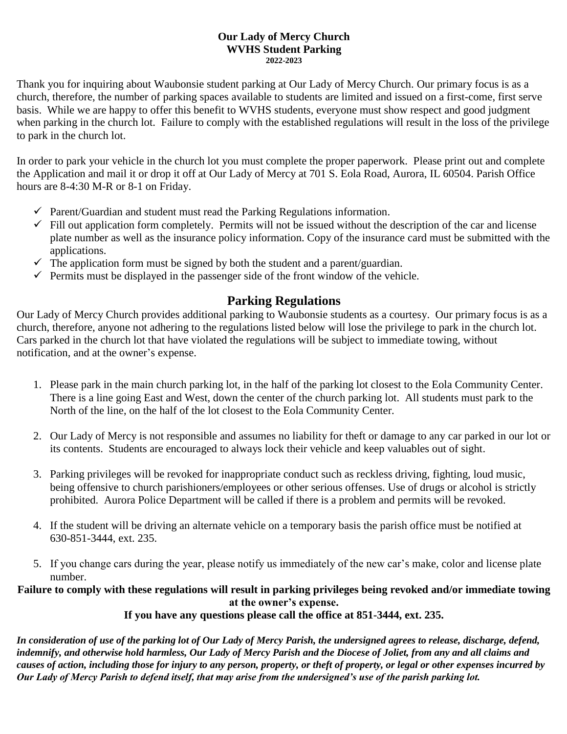## **Our Lady of Mercy Church WVHS Student Parking 2022-2023**

Thank you for inquiring about Waubonsie student parking at Our Lady of Mercy Church. Our primary focus is as a church, therefore, the number of parking spaces available to students are limited and issued on a first-come, first serve basis. While we are happy to offer this benefit to WVHS students, everyone must show respect and good judgment when parking in the church lot. Failure to comply with the established regulations will result in the loss of the privilege to park in the church lot.

In order to park your vehicle in the church lot you must complete the proper paperwork. Please print out and complete the Application and mail it or drop it off at Our Lady of Mercy at 701 S. Eola Road, Aurora, IL 60504. Parish Office hours are 8-4:30 M-R or 8-1 on Friday.

- $\checkmark$  Parent/Guardian and student must read the Parking Regulations information.
- $\checkmark$  Fill out application form completely. Permits will not be issued without the description of the car and license plate number as well as the insurance policy information. Copy of the insurance card must be submitted with the applications.
- $\checkmark$  The application form must be signed by both the student and a parent/guardian.
- $\checkmark$  Permits must be displayed in the passenger side of the front window of the vehicle.

## **Parking Regulations**

Our Lady of Mercy Church provides additional parking to Waubonsie students as a courtesy. Our primary focus is as a church, therefore, anyone not adhering to the regulations listed below will lose the privilege to park in the church lot. Cars parked in the church lot that have violated the regulations will be subject to immediate towing, without notification, and at the owner's expense.

- 1. Please park in the main church parking lot, in the half of the parking lot closest to the Eola Community Center. There is a line going East and West, down the center of the church parking lot. All students must park to the North of the line, on the half of the lot closest to the Eola Community Center.
- 2. Our Lady of Mercy is not responsible and assumes no liability for theft or damage to any car parked in our lot or its contents. Students are encouraged to always lock their vehicle and keep valuables out of sight.
- 3. Parking privileges will be revoked for inappropriate conduct such as reckless driving, fighting, loud music, being offensive to church parishioners/employees or other serious offenses. Use of drugs or alcohol is strictly prohibited. Aurora Police Department will be called if there is a problem and permits will be revoked.
- 4. If the student will be driving an alternate vehicle on a temporary basis the parish office must be notified at 630-851-3444, ext. 235.
- 5. If you change cars during the year, please notify us immediately of the new car's make, color and license plate number.

## **Failure to comply with these regulations will result in parking privileges being revoked and/or immediate towing at the owner's expense.**

**If you have any questions please call the office at 851-3444, ext. 235.**

*In consideration of use of the parking lot of Our Lady of Mercy Parish, the undersigned agrees to release, discharge, defend, indemnify, and otherwise hold harmless, Our Lady of Mercy Parish and the Diocese of Joliet, from any and all claims and causes of action, including those for injury to any person, property, or theft of property, or legal or other expenses incurred by Our Lady of Mercy Parish to defend itself, that may arise from the undersigned's use of the parish parking lot.*